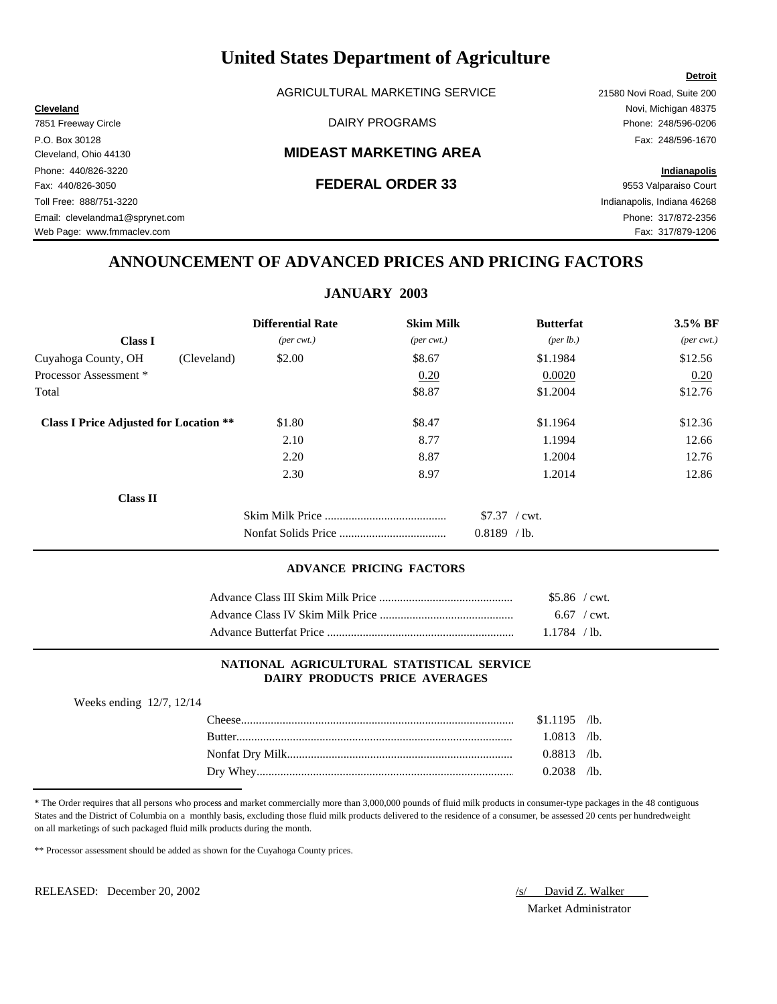AGRICULTURAL MARKETING SERVICE 21580 Novi Road, Suite 200

# Cleveland, Ohio 44130 **MIDEAST MARKETING AREA**

# Fax: 440/826-3050 **FEDERAL ORDER 33** 9553 Valparaiso Court

# **ANNOUNCEMENT OF ADVANCED PRICES AND PRICING FACTORS**

# **JANUARY 2003**

|                                               | <b>Differential Rate</b>    | <b>Skim Milk</b>            | <b>Butterfat</b>   | 3.5% BF                     |
|-----------------------------------------------|-----------------------------|-----------------------------|--------------------|-----------------------------|
| <b>Class I</b>                                | $(\text{per} \text{ cwt.})$ | $(\text{per} \text{ cwt.})$ | $(\text{per lb.})$ | $(\text{per} \text{ cwt.})$ |
| Cuyahoga County, OH<br>(Cleveland)            | \$2.00                      | \$8.67                      | \$1.1984           | \$12.56                     |
| Processor Assessment *                        |                             | 0.20                        | 0.0020             | 0.20                        |
| Total                                         |                             | \$8.87                      | \$1.2004           | \$12.76                     |
| <b>Class I Price Adjusted for Location **</b> | \$1.80                      | \$8.47                      | \$1.1964           | \$12.36                     |
|                                               | 2.10                        | 8.77                        | 1.1994             | 12.66                       |
|                                               | 2.20                        | 8.87                        | 1.2004             | 12.76                       |
|                                               | 2.30                        | 8.97                        | 1.2014             | 12.86                       |
| <b>Class II</b>                               |                             |                             |                    |                             |
|                                               |                             |                             | $$7.37$ / cwt.     |                             |
|                                               |                             |                             | $0.8189$ /lb.      |                             |

### **ADVANCE PRICING FACTORS**

| $$5.86$ / cwt. |  |
|----------------|--|
| $6.67$ / cwt.  |  |
| 1.1784 / lb.   |  |

# **NATIONAL AGRICULTURAL STATISTICAL SERVICE DAIRY PRODUCTS PRICE AVERAGES**

| Weeks ending $12/7$ , $12/14$ |                |  |
|-------------------------------|----------------|--|
|                               | $$1.1195$ /lb. |  |
| <b>Butter</b>                 | $1.0813$ /lb.  |  |
|                               | $0.8813$ /lb.  |  |
|                               | $0.2038$ /lb.  |  |

\* The Order requires that all persons who process and market commercially more than 3,000,000 pounds of fluid milk products in consumer-type packages in the 48 contiguous States and the District of Columbia on a monthly basis, excluding those fluid milk products delivered to the residence of a consumer, be assessed 20 cents per hundredweight on all marketings of such packaged fluid milk products during the month.

\*\* Processor assessment should be added as shown for the Cuyahoga County prices.

RELEASED: December 20, 2002 /s/ David Z. Walker

Market Administrator

## **Detroit**

**Cleveland** Novi, Michigan 48375 7851 Freeway Circle **Example 248/596-0206** DAIRY PROGRAMS **Phone: 248/596-0206** P.O. Box 30128 Fax: 248/596-1670 Phone: 440/826-3220 **Indianapolis** Toll Free: 888/751-3220 Indianapolis, Indiana 46268 Email: clevelandma1@sprynet.com Phone: 317/872-2356

Web Page: www.fmmaclev.com example of the community of the community of the community of the community of the community of the community of the community of the community of the community of the community of the community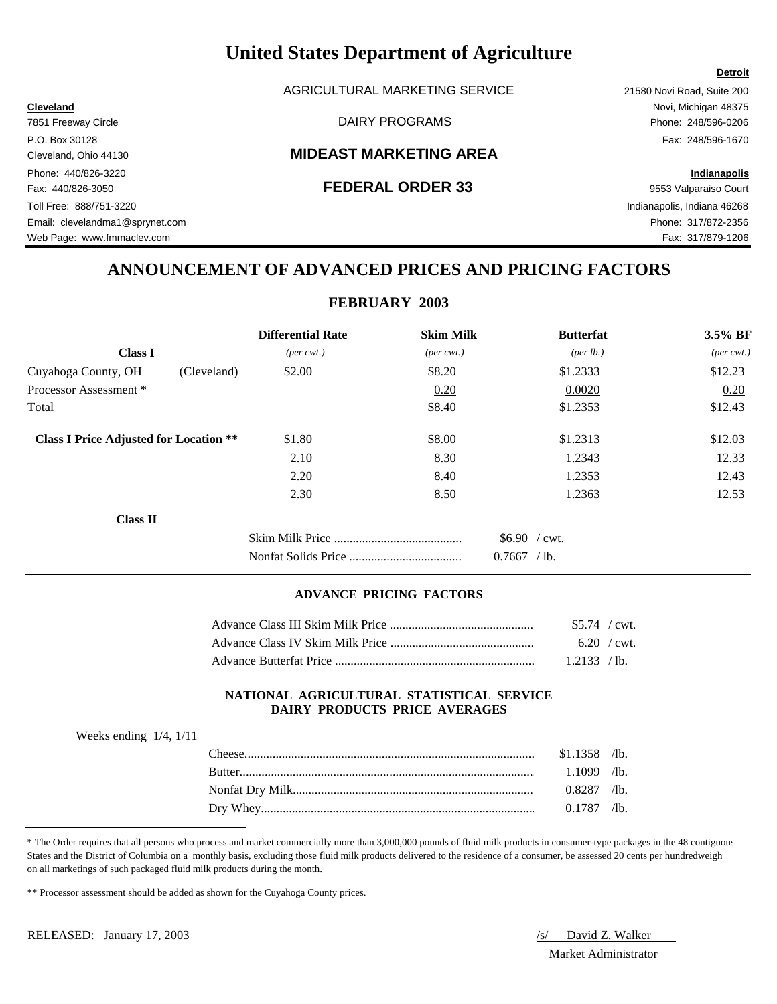AGRICULTURAL MARKETING SERVICE 21580 Novi Road, Suite 200

# Cleveland, Ohio 44130 **MIDEAST MARKETING AREA**

Phone: 440/826-3220 **Indianapolis** Fax: 440/826-3050 **FEDERAL ORDER 33** 9553 Valparaiso Court Toll Free: 888/751-3220 Indianapolis, Indiana 46268 Email: clevelandma1@sprynet.com Phone: 317/872-2356 Web Page: www.fmmaclev.com Fax: 317/879-1206

**Cleveland** Novi, Michigan 48375 7851 Freeway Circle **Example 248/596-0206** DAIRY PROGRAMS **Phone: 248/596-0206** P.O. Box 30128 Fax: 248/596-1670

# **ANNOUNCEMENT OF ADVANCED PRICES AND PRICING FACTORS**

# **FEBRUARY 2003**

|                                               | <b>Differential Rate</b>    | <b>Skim Milk</b>            | <b>Butterfat</b>                    | 3.5% BF          |
|-----------------------------------------------|-----------------------------|-----------------------------|-------------------------------------|------------------|
| <b>Class I</b>                                | $(\text{per} \text{ cwt.})$ | $(\text{per} \text{ cwt.})$ | ${\rm (per \, lb.)}$                | ${\rm (per\,\,}$ |
| Cuyahoga County, OH                           | \$2.00<br>(Cleveland)       | \$8.20                      | \$1.2333                            | \$12.23          |
| Processor Assessment *                        |                             | 0.20                        | 0.0020                              | 0.20             |
| Total                                         |                             | \$8.40                      | \$1.2353                            | \$12.43          |
| <b>Class I Price Adjusted for Location **</b> | \$1.80                      | \$8.00                      | \$1.2313                            | \$12.03          |
|                                               | 2.10                        | 8.30                        | 1.2343                              | 12.33            |
|                                               | 2.20                        | 8.40                        | 1.2353                              | 12.43            |
|                                               | 2.30                        | 8.50                        | 1.2363                              | 12.53            |
| <b>Class II</b>                               |                             |                             |                                     |                  |
|                                               |                             |                             | $$6.90$ / cwt.<br>0.7667<br>$/1b$ . |                  |

# **ADVANCE PRICING FACTORS**

| $$5.74$ / cwt. |  |
|----------------|--|
| $6.20$ / cwt.  |  |
| 1.2133 / lb.   |  |

# **NATIONAL AGRICULTURAL STATISTICAL SERVICE DAIRY PRODUCTS PRICE AVERAGES**

| Weeks ending $1/4$ , $1/11$ |                |  |
|-----------------------------|----------------|--|
|                             | $$1.1358$ /lb. |  |
|                             | $1.1099$ /lb.  |  |
|                             | $0.8287$ /lb.  |  |
|                             | $0.1787$ /lb.  |  |
|                             |                |  |

\* The Order requires that all persons who process and market commercially more than 3,000,000 pounds of fluid milk products in consumer-type packages in the 48 contiguous States and the District of Columbia on a monthly basis, excluding those fluid milk products delivered to the residence of a consumer, be assessed 20 cents per hundredweight on all marketings of such packaged fluid milk products during the month.

\*\* Processor assessment should be added as shown for the Cuyahoga County prices.

Market Administrator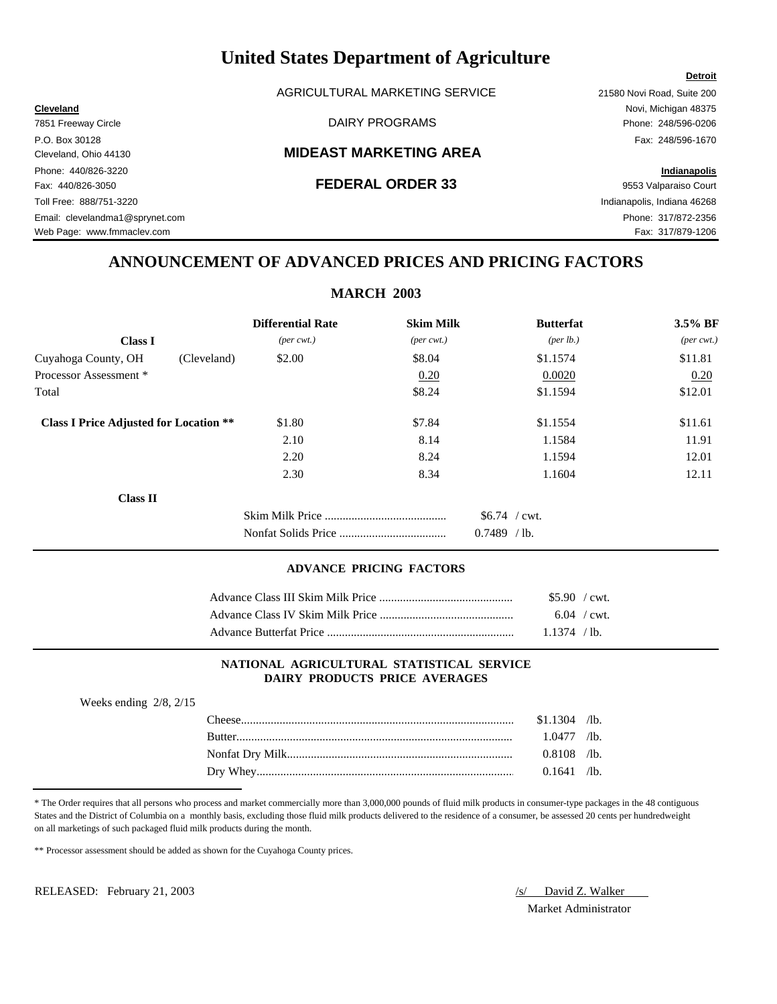AGRICULTURAL MARKETING SERVICE 21580 Novi Road, Suite 200

# Cleveland, Ohio 44130 **MIDEAST MARKETING AREA**

# Fax: 440/826-3050 **FEDERAL ORDER 33** 9553 Valparaiso Court

**Cleveland** Novi, Michigan 48375

Toll Free: 888/751-3220 Indianapolis, Indiana 46268 Web Page: www.fmmaclev.com example of the state of the state of the state of the state of the State of Tax: 317/879-1206

# **ANNOUNCEMENT OF ADVANCED PRICES AND PRICING FACTORS**

# **MARCH 2003**

|                                               | <b>Differential Rate</b>    | <b>Skim Milk</b>            | <b>Butterfat</b>          | 3.5% BF                     |
|-----------------------------------------------|-----------------------------|-----------------------------|---------------------------|-----------------------------|
| <b>Class I</b>                                | $(\text{per} \text{ cwt.})$ | $(\text{per} \text{ cwt.})$ | $(\text{per lb.})$        | $(\text{per} \text{ cwt.})$ |
| Cuyahoga County, OH<br>(Cleveland)            | \$2.00                      | \$8.04                      | \$1.1574                  | \$11.81                     |
| Processor Assessment *                        |                             | 0.20                        | 0.0020                    | 0.20                        |
| Total                                         |                             | \$8.24                      | \$1.1594                  | \$12.01                     |
| <b>Class I Price Adjusted for Location **</b> | \$1.80                      | \$7.84                      | \$1.1554                  | \$11.61                     |
|                                               | 2.10                        | 8.14                        | 1.1584                    | 11.91                       |
|                                               | 2.20                        | 8.24                        | 1.1594                    | 12.01                       |
|                                               | 2.30                        | 8.34                        | 1.1604                    | 12.11                       |
| <b>Class II</b>                               |                             |                             |                           |                             |
|                                               |                             |                             | $$6.74$ / cwt.            |                             |
|                                               |                             |                             | 0.7489<br>/1 <sub>b</sub> |                             |

### **ADVANCE PRICING FACTORS**

| $$5.90$ / cwt. |  |
|----------------|--|
| $6.04$ / cwt.  |  |
| $1.1374$ / lb. |  |

# **NATIONAL AGRICULTURAL STATISTICAL SERVICE DAIRY PRODUCTS PRICE AVERAGES**

| Weeks ending $2/8$ , $2/15$ |                |  |
|-----------------------------|----------------|--|
|                             | $$1.1304$ /lb. |  |
|                             | $1.0477$ /lb.  |  |
|                             | $0.8108$ /lb.  |  |
|                             | $0.1641$ /lb.  |  |
|                             |                |  |

\* The Order requires that all persons who process and market commercially more than 3,000,000 pounds of fluid milk products in consumer-type packages in the 48 contiguous States and the District of Columbia on a monthly basis, excluding those fluid milk products delivered to the residence of a consumer, be assessed 20 cents per hundredweight on all marketings of such packaged fluid milk products during the month.

\*\* Processor assessment should be added as shown for the Cuyahoga County prices.

RELEASED: February 21, 2003 /s/ David Z. Walker

Market Administrator

7851 Freeway Circle **Example 248/596-0206** DAIRY PROGRAMS **Phone: 248/596-0206** P.O. Box 30128 Fax: 248/596-1670 Phone: 440/826-3220 **Indianapolis**

Email: clevelandma1@sprynet.com Phone: 317/872-2356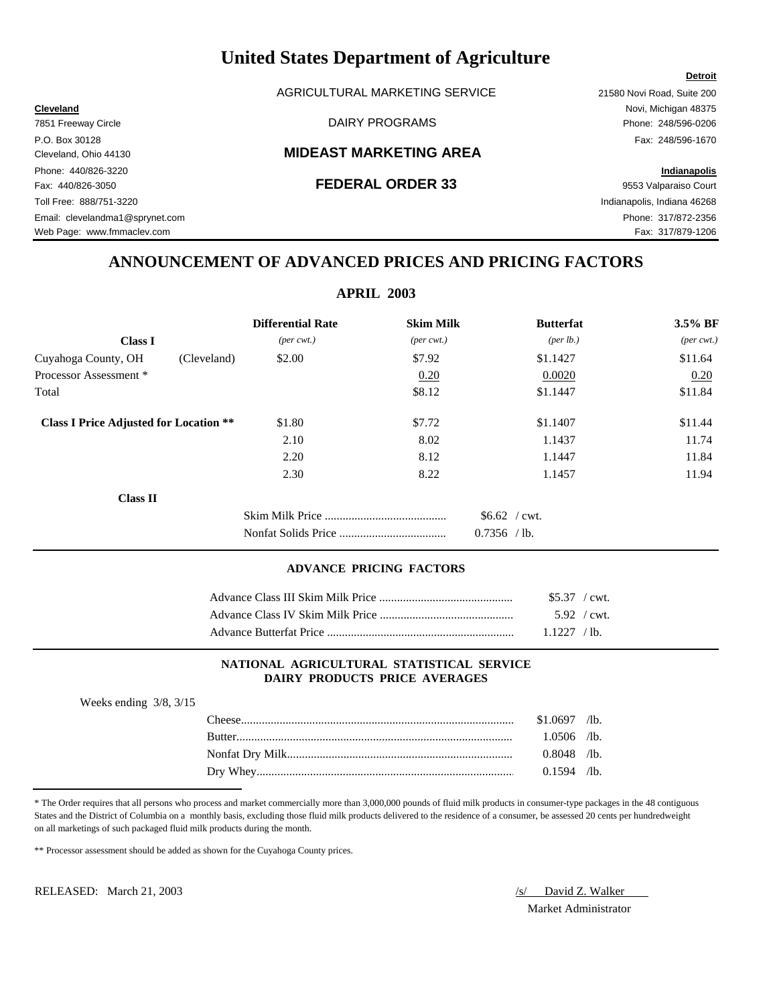AGRICULTURAL MARKETING SERVICE 21580 Novi Road, Suite 200

# Cleveland, Ohio 44130 **MIDEAST MARKETING AREA**

**Cleveland** Novi, Michigan 48375

Web Page: www.fmmaclev.com example of the state of the state of the state of the state of the State of Tax: 317/879-1206

# **ANNOUNCEMENT OF ADVANCED PRICES AND PRICING FACTORS**

|                                               | <b>Differential Rate</b>    | <b>Skim Milk</b>            | <b>Butterfat</b>   | 3.5% BF                     |
|-----------------------------------------------|-----------------------------|-----------------------------|--------------------|-----------------------------|
| <b>Class I</b>                                | $(\text{per} \text{ cwt.})$ | $(\text{per} \text{ cwt.})$ | $(\text{per lb.})$ | $(\text{per} \text{ cwt.})$ |
| (Cleveland)<br>Cuyahoga County, OH            | \$2.00                      | \$7.92                      | \$1.1427           | \$11.64                     |
| Processor Assessment *                        |                             | 0.20                        | 0.0020             | 0.20                        |
| Total                                         |                             | \$8.12                      | \$1.1447           | \$11.84                     |
| <b>Class I Price Adjusted for Location **</b> | \$1.80                      | \$7.72                      | \$1.1407           | \$11.44                     |
|                                               | 2.10                        | 8.02                        | 1.1437             | 11.74                       |
|                                               | 2.20                        | 8.12                        | 1.1447             | 11.84                       |
|                                               | 2.30                        | 8.22                        | 1.1457             | 11.94                       |
| <b>Class II</b>                               |                             |                             |                    |                             |
|                                               |                             |                             | $$6.62$ / cwt.     |                             |
|                                               |                             |                             | $0.7356$ /lb.      |                             |

| $$5.37$ / cwt. |  |
|----------------|--|
| $5.92$ / cwt.  |  |
| $1.1227$ /lb.  |  |

# **NATIONAL AGRICULTURAL STATISTICAL SERVICE DAIRY PRODUCTS PRICE AVERAGES**

| Weeks ending $3/8$ , $3/15$ |                |  |
|-----------------------------|----------------|--|
|                             | $$1.0697$ /lb. |  |
|                             | 1.0506 /lb.    |  |
|                             | $0.8048$ /lb.  |  |
|                             | $0.1594$ /lb.  |  |
|                             |                |  |

\* The Order requires that all persons who process and market commercially more than 3,000,000 pounds of fluid milk products in consumer-type packages in the 48 contiguous States and the District of Columbia on a monthly basis, excluding those fluid milk products delivered to the residence of a consumer, be assessed 20 cents per hundredweight on all marketings of such packaged fluid milk products during the month.

\*\* Processor assessment should be added as shown for the Cuyahoga County prices.

RELEASED: March 21, 2003 /s/ David Z. Walker

Market Administrator

## **Detroit**

7851 Freeway Circle **Example 248/596-0206** DAIRY PROGRAMS **Phone: 248/596-0206** P.O. Box 30128 Fax: 248/596-1670 Phone: 440/826-3220 **Indianapolis** Fax: 440/826-3050 **FEDERAL ORDER 33** 9553 Valparaiso Court Toll Free: 888/751-3220 Indianapolis, Indiana 46268 Email: clevelandma1@sprynet.com Phone: 317/872-2356

**ADVANCE PRICING FACTORS**

**APRIL 2003**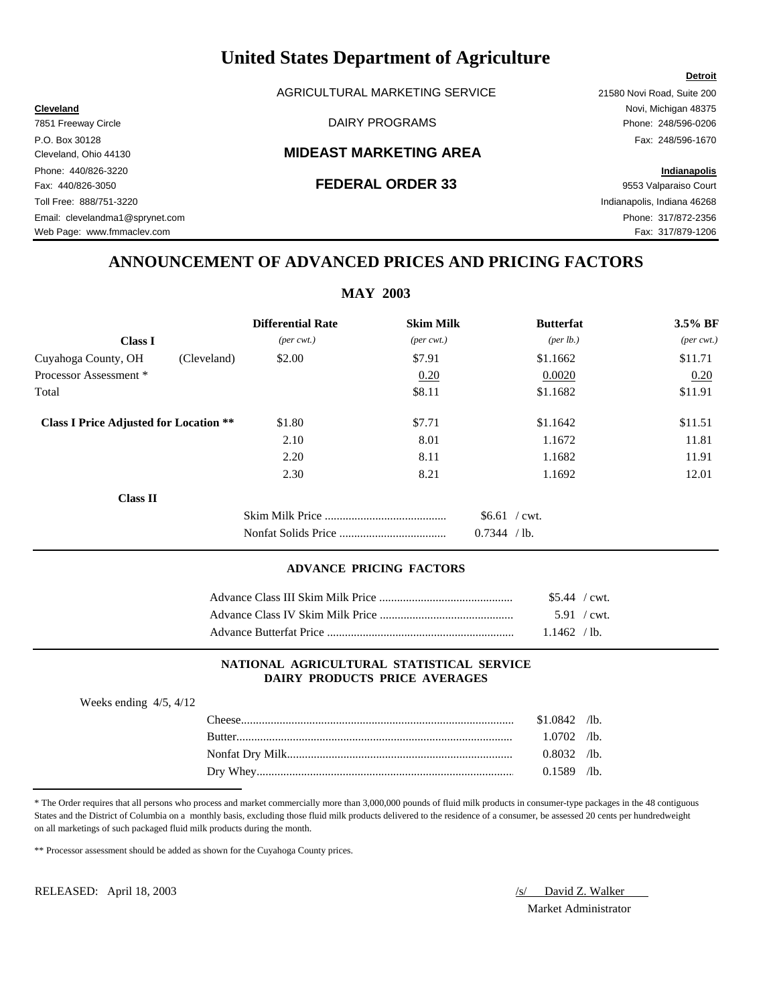AGRICULTURAL MARKETING SERVICE 21580 Novi Road, Suite 200

# Cleveland, Ohio 44130 **MIDEAST MARKETING AREA**

**Cleveland** Novi, Michigan 48375

# **ANNOUNCEMENT OF ADVANCED PRICES AND PRICING FACTORS**

|                                               |                             | <b>MAY 2003</b>             |                  |                             |
|-----------------------------------------------|-----------------------------|-----------------------------|------------------|-----------------------------|
|                                               | <b>Differential Rate</b>    | <b>Skim Milk</b>            | <b>Butterfat</b> | 3.5% BF                     |
| <b>Class I</b>                                | $(\text{per} \text{ cwt.})$ | $(\text{per} \text{ cwt.})$ | (per lb.)        | $(\text{per} \text{ cwt.})$ |
| Cuyahoga County, OH<br>(Cleveland)            | \$2.00                      | \$7.91                      | \$1.1662         | \$11.71                     |
| Processor Assessment*                         |                             | 0.20                        | 0.0020           | 0.20                        |
| Total                                         |                             | \$8.11                      | \$1.1682         | \$11.91                     |
| <b>Class I Price Adjusted for Location **</b> | \$1.80                      | \$7.71                      | \$1.1642         | \$11.51                     |
|                                               | 2.10                        | 8.01                        | 1.1672           | 11.81                       |
|                                               | 2.20                        | 8.11                        | 1.1682           | 11.91                       |
|                                               | 2.30                        | 8.21                        | 1.1692           | 12.01                       |
| <b>Class II</b>                               |                             |                             |                  |                             |
|                                               |                             |                             | $$6.61$ / cwt.   |                             |
|                                               |                             |                             | 0.7344 / lb.     |                             |

### **ADVANCE PRICING FACTORS**

| $$5.44$ / cwt. |  |
|----------------|--|
| 5.91 / cwt.    |  |
| 1.1462 / lb.   |  |

# **NATIONAL AGRICULTURAL STATISTICAL SERVICE DAIRY PRODUCTS PRICE AVERAGES**

| Weeks ending $4/5$ , $4/12$ |               |                |  |
|-----------------------------|---------------|----------------|--|
|                             |               | $$1.0842$ /lb. |  |
|                             | <b>Butter</b> | $1.0702$ /lb.  |  |
|                             |               | $0.8032$ /lb.  |  |
|                             |               | $0.1589$ /lb.  |  |
|                             |               |                |  |

\* The Order requires that all persons who process and market commercially more than 3,000,000 pounds of fluid milk products in consumer-type packages in the 48 contiguous States and the District of Columbia on a monthly basis, excluding those fluid milk products delivered to the residence of a consumer, be assessed 20 cents per hundredweight on all marketings of such packaged fluid milk products during the month.

\*\* Processor assessment should be added as shown for the Cuyahoga County prices.

RELEASED: April 18, 2003 /s/ David Z. Walker

Market Administrator

### **Detroit**

7851 Freeway Circle **Example 248/596-0206** DAIRY PROGRAMS **Phone: 248/596-0206** P.O. Box 30128 Fax: 248/596-1670 Phone: 440/826-3220 **Indianapolis** Fax: 440/826-3050 **FEDERAL ORDER 33** 9553 Valparaiso Court Toll Free: 888/751-3220 Indianapolis, Indiana 46268 Email: clevelandma1@sprynet.com Phone: 317/872-2356

Web Page: www.fmmaclev.com example of the community of the community of the community of the community of the community of the community of the community of the community of the community of the community of the community

**MAY 2003**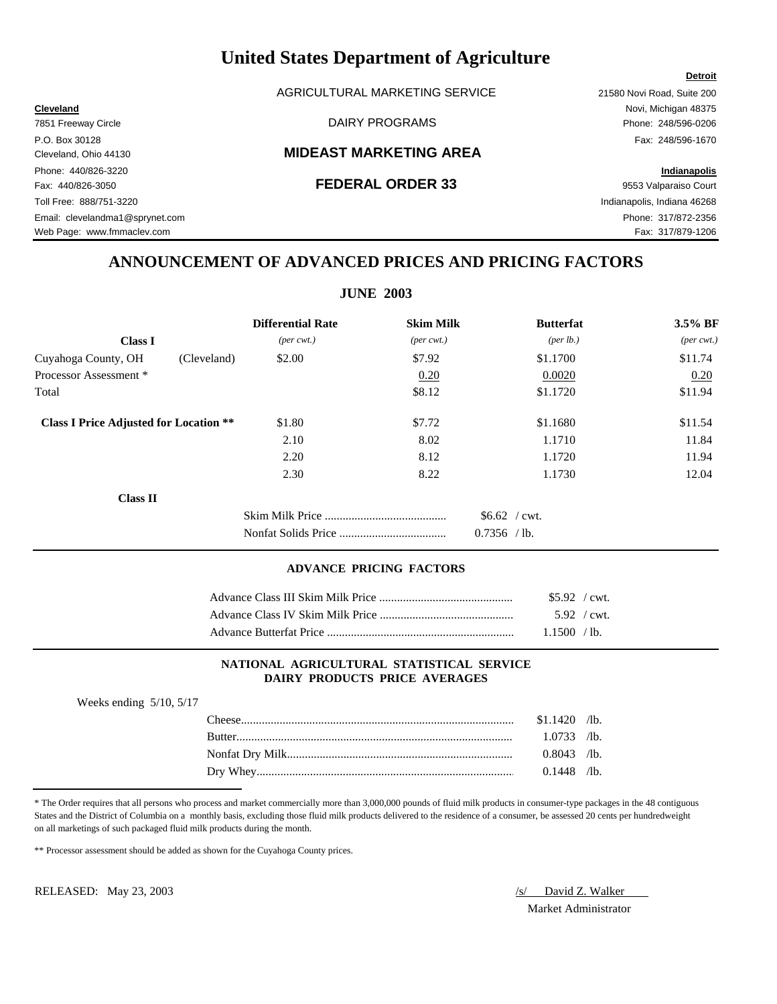AGRICULTURAL MARKETING SERVICE 21580 Novi Road, Suite 200

# Cleveland, Ohio 44130 **MIDEAST MARKETING AREA**

# **ANNOUNCEMENT OF ADVANCED PRICES AND PRICING FACTORS**

| <b>JUNE 2003</b>                              |                             |                             |                    |                             |
|-----------------------------------------------|-----------------------------|-----------------------------|--------------------|-----------------------------|
|                                               | <b>Differential Rate</b>    | <b>Skim Milk</b>            | <b>Butterfat</b>   | 3.5% BF                     |
| <b>Class I</b>                                | $(\text{per} \text{ cwt.})$ | $(\text{per} \text{ cwt.})$ | $(\text{per lb.})$ | $(\text{per} \text{ cwt.})$ |
| Cuyahoga County, OH<br>(Cleveland)            | \$2.00                      | \$7.92                      | \$1.1700           | \$11.74                     |
| Processor Assessment*                         |                             | 0.20                        | 0.0020             | 0.20                        |
| Total                                         |                             | \$8.12                      | \$1.1720           | \$11.94                     |
| <b>Class I Price Adjusted for Location **</b> | \$1.80                      | \$7.72                      | \$1.1680           | \$11.54                     |
|                                               | 2.10                        | 8.02                        | 1.1710             | 11.84                       |
|                                               | 2.20                        | 8.12                        | 1.1720             | 11.94                       |
|                                               | 2.30                        | 8.22                        | 1.1730             | 12.04                       |
| <b>Class II</b>                               |                             |                             |                    |                             |
|                                               |                             |                             | $$6.62$ / cwt.     |                             |
|                                               |                             |                             | $0.7356$ /lb.      |                             |

### **ADVANCE PRICING FACTORS**

| $$5.92$ / cwt. |  |
|----------------|--|
| $5.92$ / cwt.  |  |
| 1.1500 /lb.    |  |

### **NATIONAL AGRICULTURAL STATISTICAL SERVICE DAIRY PRODUCTS PRICE AVERAGES**

| Weeks ending $5/10$ , $5/17$ |                |
|------------------------------|----------------|
| l 'heese'                    | $$1.1420$ /lb. |
|                              | $1.0733$ /lb.  |
|                              | $0.8043$ /lb.  |
|                              | $0.1448$ /lb.  |

\* The Order requires that all persons who process and market commercially more than 3,000,000 pounds of fluid milk products in consumer-type packages in the 48 contiguous States and the District of Columbia on a monthly basis, excluding those fluid milk products delivered to the residence of a consumer, be assessed 20 cents per hundredweight on all marketings of such packaged fluid milk products during the month.

\*\* Processor assessment should be added as shown for the Cuyahoga County prices.

RELEASED: May 23, 2003 /s/ David Z. Walker

Market Administrator

7851 Freeway Circle **Example 248/596-0206** DAIRY PROGRAMS **Phone: 248/596-0206** P.O. Box 30128 Fax: 248/596-1670 Phone: 440/826-3220 **Indianapolis** Fax: 440/826-3050 **FEDERAL ORDER 33** 9553 Valparaiso Court Toll Free: 888/751-3220 Indianapolis, Indiana 46268 Email: clevelandma1@sprynet.com Phone: 317/872-2356 Web Page: www.fmmaclev.com example of the community of the community of the community of the community of the community of the community of the community of the community of the community of the community of the community

**Detroit**

**Cleveland** Novi, Michigan 48375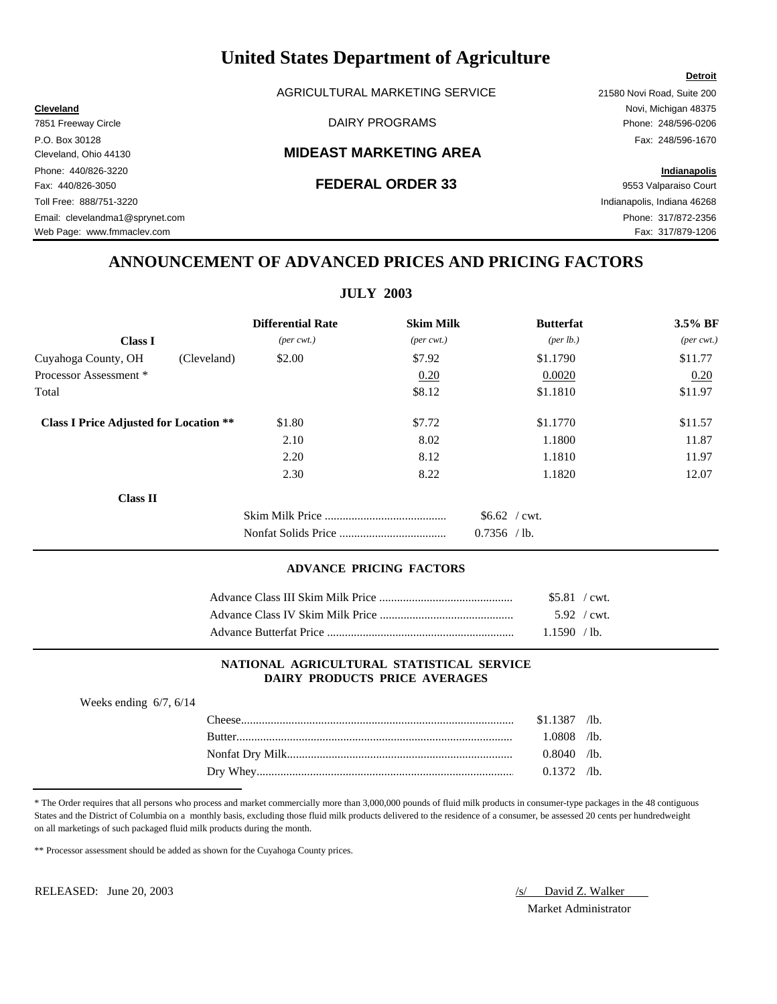AGRICULTURAL MARKETING SERVICE 21580 Novi Road, Suite 200

# Cleveland, Ohio 44130 **MIDEAST MARKETING AREA**

# Fax: 440/826-3050 **FEDERAL ORDER 33** 9553 Valparaiso Court

**Cleveland** Novi, Michigan 48375 7851 Freeway Circle **Example 248/596-0206** DAIRY PROGRAMS **Phone: 248/596-0206** P.O. Box 30128 Fax: 248/596-1670

# **ANNOUNCEMENT OF ADVANCED PRICES AND PRICING FACTORS**

**JULY 2003**

|                                               | <b>Differential Rate</b>    | <b>Skim Milk</b>            | <b>Butterfat</b>     | 3.5% BF                     |
|-----------------------------------------------|-----------------------------|-----------------------------|----------------------|-----------------------------|
| <b>Class I</b>                                | $(\text{per} \text{ cwt.})$ | $(\text{per} \text{ cwt.})$ | ${\rm (per \, lb.)}$ | $(\text{per} \text{ cwt.})$ |
| Cuyahoga County, OH<br>(Cleveland)            | \$2.00                      | \$7.92                      | \$1.1790             | \$11.77                     |
| Processor Assessment *                        |                             | 0.20                        | 0.0020               | 0.20                        |
| Total                                         |                             | \$8.12                      | \$1.1810             | \$11.97                     |
| <b>Class I Price Adjusted for Location **</b> | \$1.80                      | \$7.72                      | \$1.1770             | \$11.57                     |
|                                               | 2.10                        | 8.02                        | 1.1800               | 11.87                       |
|                                               | 2.20                        | 8.12                        | 1.1810               | 11.97                       |
|                                               | 2.30                        | 8.22                        | 1.1820               | 12.07                       |
| <b>Class II</b>                               |                             |                             |                      |                             |
|                                               |                             |                             | $$6.62$ / cwt.       |                             |
|                                               |                             |                             | $0.7356$ /lb.        |                             |

### **ADVANCE PRICING FACTORS**

| $$5.81$ / cwt. |  |
|----------------|--|
| $5.92$ / cwt.  |  |
| 1.1590 / lb.   |  |

### **NATIONAL AGRICULTURAL STATISTICAL SERVICE DAIRY PRODUCTS PRICE AVERAGES**

| Weeks ending $6/7$ , $6/14$ |               |                |  |
|-----------------------------|---------------|----------------|--|
|                             |               | $$1.1387$ /lb. |  |
|                             | <b>Butter</b> | 1.0808 /lb.    |  |
|                             |               | $0.8040$ /lb.  |  |
|                             |               | $0.1372$ /lb.  |  |
|                             |               |                |  |

\* The Order requires that all persons who process and market commercially more than 3,000,000 pounds of fluid milk products in consumer-type packages in the 48 contiguous States and the District of Columbia on a monthly basis, excluding those fluid milk products delivered to the residence of a consumer, be assessed 20 cents per hundredweight on all marketings of such packaged fluid milk products during the month.

\*\* Processor assessment should be added as shown for the Cuyahoga County prices.

RELEASED: June 20, 2003  $\sqrt{s}$  David Z. Walker

Market Administrator

**Detroit**

Phone: 440/826-3220 **Indianapolis** Toll Free: 888/751-3220 Indianapolis, Indiana 46268 Email: clevelandma1@sprynet.com Phone: 317/872-2356

Web Page: www.fmmaclev.com example of the state of the state of the state of the state of the State of Tax: 317/879-1206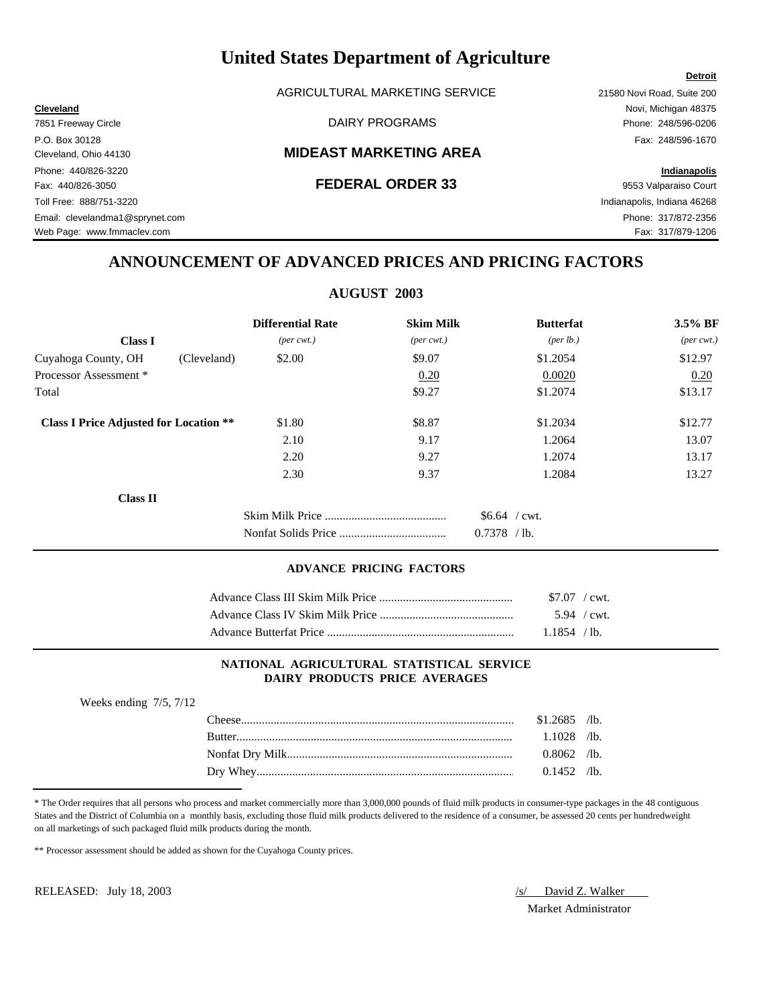AGRICULTURAL MARKETING SERVICE 21580 Novi Road, Suite 200

# Cleveland, Ohio 44130 **MIDEAST MARKETING AREA**

# Fax: 440/826-3050 **FEDERAL ORDER 33** 9553 Valparaiso Court

**Cleveland** Novi, Michigan 48375

# **ANNOUNCEMENT OF ADVANCED PRICES AND PRICING FACTORS**

# **AUGUST 2003**

|                                               | <b>Differential Rate</b>    | <b>Skim Milk</b>            | <b>Butterfat</b>   | 3.5% BF                     |
|-----------------------------------------------|-----------------------------|-----------------------------|--------------------|-----------------------------|
| <b>Class I</b>                                | $(\text{per} \text{ cwt.})$ | $(\text{per} \text{ cwt.})$ | $(\text{per lb.})$ | $(\text{per} \text{ cwt.})$ |
| Cuyahoga County, OH<br>(Cleveland)            | \$2.00                      | \$9.07                      | \$1.2054           | \$12.97                     |
| Processor Assessment *                        |                             | 0.20                        | 0.0020             | 0.20                        |
| Total                                         |                             | \$9.27                      | \$1.2074           | \$13.17                     |
| <b>Class I Price Adjusted for Location **</b> | \$1.80                      | \$8.87                      | \$1.2034           | \$12.77                     |
|                                               | 2.10                        | 9.17                        | 1.2064             | 13.07                       |
|                                               | 2.20                        | 9.27                        | 1.2074             | 13.17                       |
|                                               | 2.30                        | 9.37                        | 1.2084             | 13.27                       |
| <b>Class II</b>                               |                             |                             |                    |                             |
|                                               |                             |                             | $$6.64$ / cwt.     |                             |
|                                               |                             |                             | 0.7378<br>$/1b$ .  |                             |

### **ADVANCE PRICING FACTORS**

| $$7.07$ / cwt. |  |
|----------------|--|
| 5.94 / $cwt$ . |  |
| 1.1854 / lb.   |  |

# **NATIONAL AGRICULTURAL STATISTICAL SERVICE DAIRY PRODUCTS PRICE AVERAGES**

| Weeks ending $7/5$ , $7/12$ |                |  |
|-----------------------------|----------------|--|
|                             | $$1.2685$ /lb. |  |
|                             | $1.1028$ /lb.  |  |
|                             | $0.8062$ /lb.  |  |
|                             | $0.1452$ /lb.  |  |
|                             |                |  |

\* The Order requires that all persons who process and market commercially more than 3,000,000 pounds of fluid milk products in consumer-type packages in the 48 contiguous States and the District of Columbia on a monthly basis, excluding those fluid milk products delivered to the residence of a consumer, be assessed 20 cents per hundredweight on all marketings of such packaged fluid milk products during the month.

\*\* Processor assessment should be added as shown for the Cuyahoga County prices.

RELEASED: July 18, 2003 /s/ David Z. Walker

Market Administrator

### **Detroit**

7851 Freeway Circle **Example 248/596-0206** DAIRY PROGRAMS **Phone: 248/596-0206** P.O. Box 30128 Fax: 248/596-1670 Phone: 440/826-3220 **Indianapolis** Toll Free: 888/751-3220 Indianapolis, Indiana 46268 Email: clevelandma1@sprynet.com Phone: 317/872-2356

Web Page: www.fmmaclev.com example of the state of the state of the state of the state of the S17/879-1206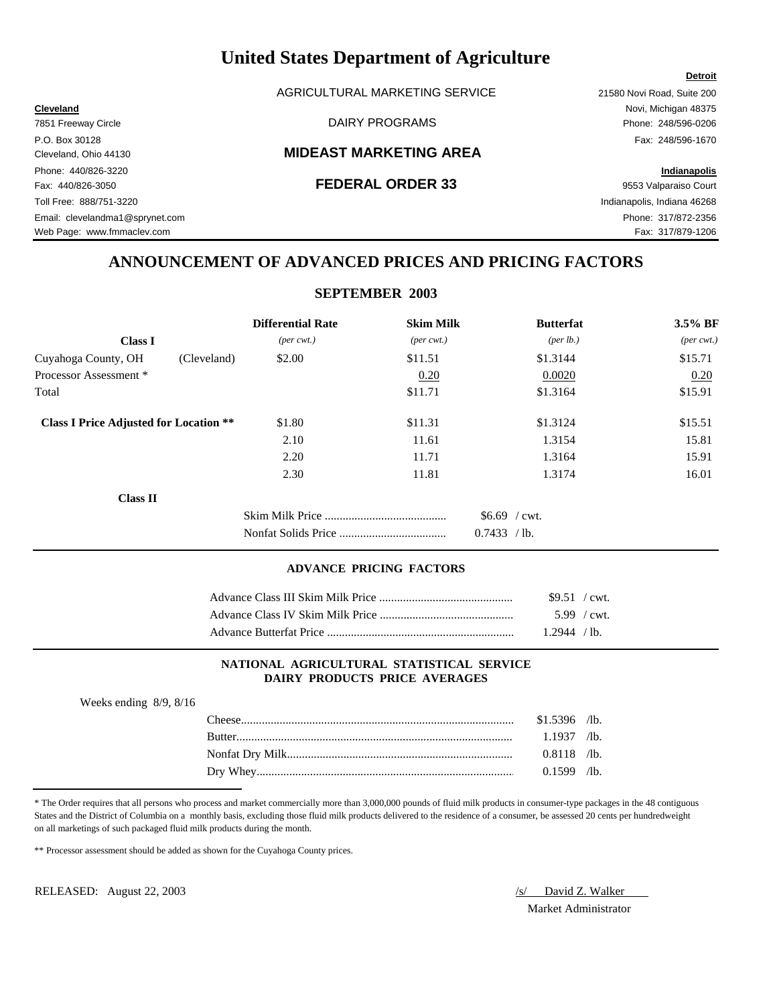AGRICULTURAL MARKETING SERVICE 21580 Novi Road, Suite 200

# Cleveland, Ohio 44130 **MIDEAST MARKETING AREA**

Fax: 440/826-3050 **FEDERAL ORDER 33** 9553 Valparaiso Court

**Cleveland** Novi, Michigan 48375

Toll Free: 888/751-3220 Indianapolis, Indiana 46268

# **ANNOUNCEMENT OF ADVANCED PRICES AND PRICING FACTORS**

# **SEPTEMBER 2003**

|                                               | <b>Differential Rate</b>    | <b>Skim Milk</b>            | <b>Butterfat</b>   | 3.5% BF                     |
|-----------------------------------------------|-----------------------------|-----------------------------|--------------------|-----------------------------|
| <b>Class I</b>                                | $(\text{per} \text{ cwt.})$ | $(\text{per} \text{ cwt.})$ | $(\text{per lb.})$ | $(\text{per} \text{ cwt.})$ |
| Cuyahoga County, OH<br>(Cleveland)            | \$2.00                      | \$11.51                     | \$1.3144           | \$15.71                     |
| Processor Assessment *                        |                             | 0.20                        | 0.0020             | 0.20                        |
| Total                                         |                             | \$11.71                     | \$1.3164           | \$15.91                     |
| <b>Class I Price Adjusted for Location **</b> | \$1.80                      | \$11.31                     | \$1.3124           | \$15.51                     |
|                                               | 2.10                        | 11.61                       | 1.3154             | 15.81                       |
|                                               | 2.20                        | 11.71                       | 1.3164             | 15.91                       |
|                                               | 2.30                        | 11.81                       | 1.3174             | 16.01                       |
| <b>Class II</b>                               |                             |                             |                    |                             |
|                                               |                             |                             | $$6.69$ / cwt.     |                             |
|                                               |                             |                             | 0.7433<br>$/1b$ .  |                             |

### **ADVANCE PRICING FACTORS**

| $$9.51$ / cwt.        |  |
|-----------------------|--|
| $5.99 / \text{cwt}$ . |  |
| 1.2944 / lb.          |  |

# **NATIONAL AGRICULTURAL STATISTICAL SERVICE DAIRY PRODUCTS PRICE AVERAGES**

| Weeks ending $8/9$ , $8/16$ |                |  |
|-----------------------------|----------------|--|
|                             | $$1.5396$ /lb. |  |
|                             | $1.1937$ /lb.  |  |
|                             | $0.8118$ /lb.  |  |
|                             | $0.1599$ /lb.  |  |
|                             |                |  |

\* The Order requires that all persons who process and market commercially more than 3,000,000 pounds of fluid milk products in consumer-type packages in the 48 contiguous States and the District of Columbia on a monthly basis, excluding those fluid milk products delivered to the residence of a consumer, be assessed 20 cents per hundredweight on all marketings of such packaged fluid milk products during the month.

\*\* Processor assessment should be added as shown for the Cuyahoga County prices.

RELEASED: August 22, 2003 /s/ David Z. Walker

Market Administrator

7851 Freeway Circle **Example 248/596-0206** DAIRY PROGRAMS **Phone: 248/596-0206** P.O. Box 30128 Fax: 248/596-1670 Phone: 440/826-3220 **Indianapolis**

Email: clevelandma1@sprynet.com Phone: 317/872-2356 Web Page: www.fmmaclev.com example of the state of the state of the state of the state of the S17/879-1206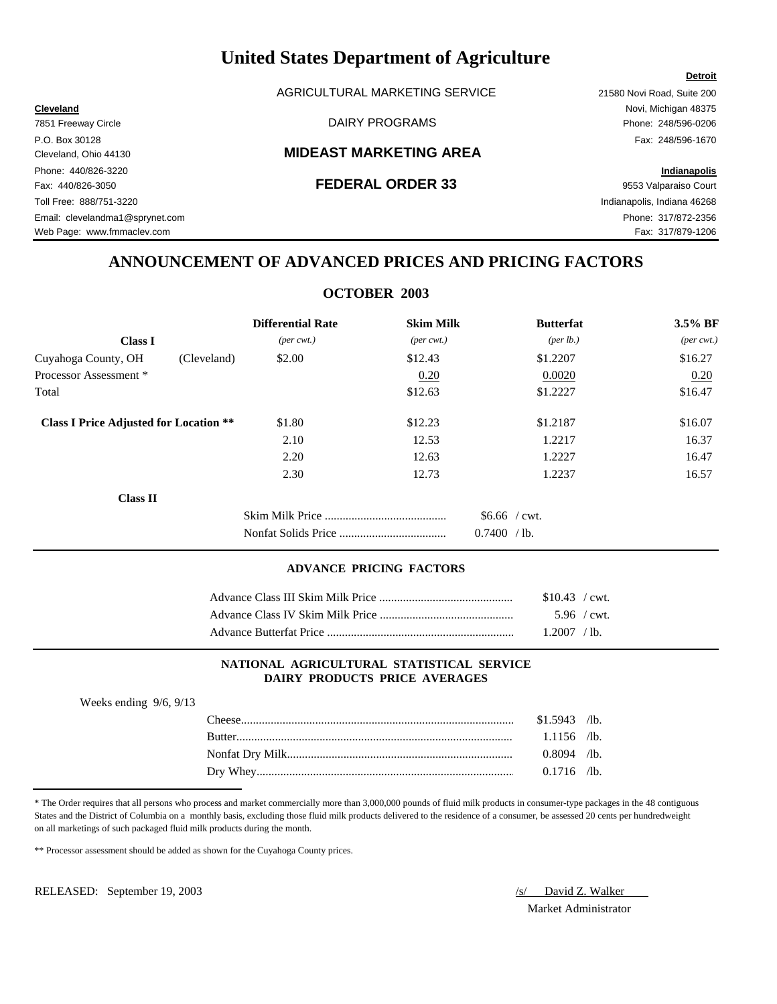AGRICULTURAL MARKETING SERVICE 21580 Novi Road, Suite 200

# Cleveland, Ohio 44130 **MIDEAST MARKETING AREA**

**Detroit**

Web Page: www.fmmaclev.com example of the state of the state of the state of the state of the S17/879-1206

# **ANNOUNCEMENT OF ADVANCED PRICES AND PRICING FACTORS**

# **OCTOBER 2003**

|                                               | <b>Differential Rate</b>    | <b>Skim Milk</b>            | <b>Butterfat</b>     | 3.5% BF                     |
|-----------------------------------------------|-----------------------------|-----------------------------|----------------------|-----------------------------|
| <b>Class I</b>                                | $(\text{per} \text{ cwt.})$ | $(\text{per} \text{ cwt.})$ | ${\rm (per \, lb.)}$ | $(\text{per} \text{ cwt.})$ |
| Cuyahoga County, OH<br>(Cleveland)            | \$2.00                      | \$12.43                     | \$1,2207             | \$16.27                     |
| Processor Assessment *                        |                             | 0.20                        | 0.0020               | 0.20                        |
| Total                                         |                             | \$12.63                     | \$1.2227             | \$16.47                     |
| <b>Class I Price Adjusted for Location **</b> | \$1.80                      | \$12.23                     | \$1.2187             | \$16.07                     |
|                                               | 2.10                        | 12.53                       | 1.2217               | 16.37                       |
|                                               | 2.20                        | 12.63                       | 1.2227               | 16.47                       |
|                                               | 2.30                        | 12.73                       | 1.2237               | 16.57                       |
| <b>Class II</b>                               |                             |                             |                      |                             |
|                                               |                             |                             | $$6.66$ / cwt.       |                             |
|                                               |                             |                             | 0.7400<br>$/1b$ .    |                             |

### **ADVANCE PRICING FACTORS**

| $$10.43$ / cwt. |  |
|-----------------|--|
| $5.96$ / cwt.   |  |
| 1.2007 / lb.    |  |

# **NATIONAL AGRICULTURAL STATISTICAL SERVICE DAIRY PRODUCTS PRICE AVERAGES**

| Weeks ending $9/6$ , $9/13$ |                |  |
|-----------------------------|----------------|--|
|                             | $$1.5943$ /lb. |  |
|                             | $1.1156$ /lb.  |  |
|                             | $0.8094$ /lb.  |  |
|                             | $0.1716$ /lb.  |  |
|                             |                |  |

\* The Order requires that all persons who process and market commercially more than 3,000,000 pounds of fluid milk products in consumer-type packages in the 48 contiguous States and the District of Columbia on a monthly basis, excluding those fluid milk products delivered to the residence of a consumer, be assessed 20 cents per hundredweight on all marketings of such packaged fluid milk products during the month.

\*\* Processor assessment should be added as shown for the Cuyahoga County prices.

RELEASED: September 19, 2003 */s/ David Z. Walker* 

Market Administrator

**Cleveland** Novi, Michigan 48375 7851 Freeway Circle **Example 248/596-0206** DAIRY PROGRAMS **Phone: 248/596-0206** P.O. Box 30128 Fax: 248/596-1670 Phone: 440/826-3220 **Indianapolis** Fax: 440/826-3050 **FEDERAL ORDER 33** 9553 Valparaiso Court Toll Free: 888/751-3220 Indianapolis, Indiana 46268 Email: clevelandma1@sprynet.com Phone: 317/872-2356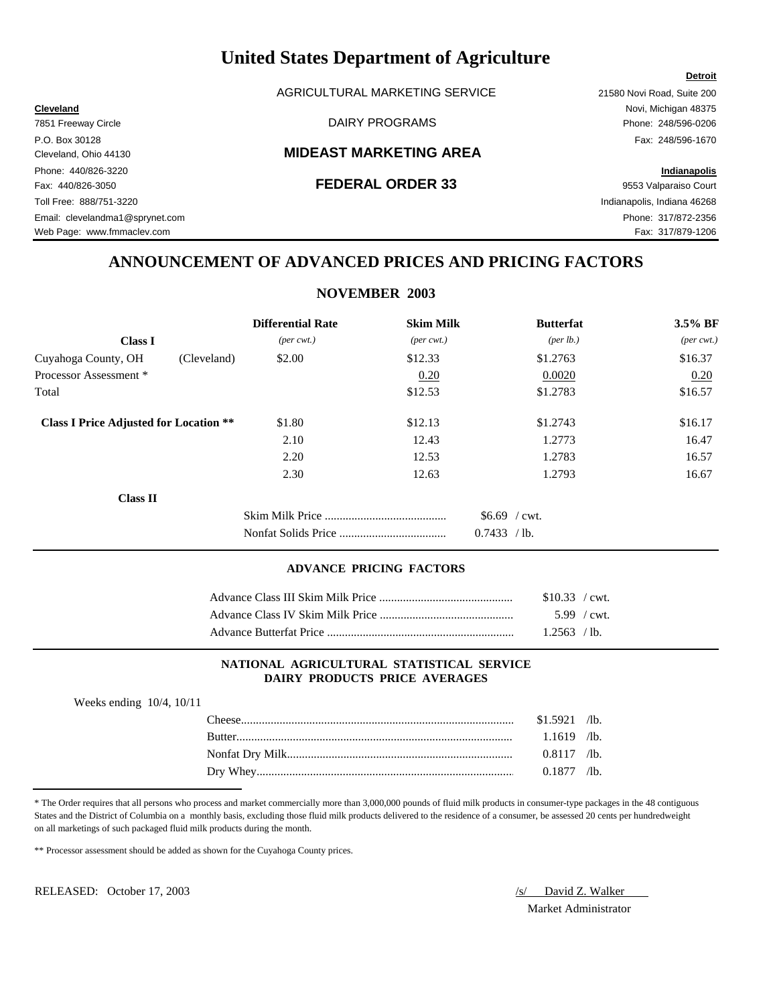AGRICULTURAL MARKETING SERVICE 21580 Novi Road, Suite 200

# Cleveland, Ohio 44130 **MIDEAST MARKETING AREA**

Web Page: www.fmmaclev.com example of the state of the state of the state of the state of the S17/879-1206

# **ANNOUNCEMENT OF ADVANCED PRICES AND PRICING FACTORS**

# **NOVEMBER 2003**

|                                               | <b>Differential Rate</b>    | <b>Skim Milk</b>            | <b>Butterfat</b>   | 3.5% BF                     |
|-----------------------------------------------|-----------------------------|-----------------------------|--------------------|-----------------------------|
| <b>Class I</b>                                | $(\text{per} \text{ cwt.})$ | $(\text{per} \text{ cwt.})$ | $(\text{per lb.})$ | $(\text{per} \text{ cwt.})$ |
| Cuyahoga County, OH<br>(Cleveland)            | \$2.00                      | \$12.33                     | \$1.2763           | \$16.37                     |
| Processor Assessment *                        |                             | 0.20                        | 0.0020             | 0.20                        |
| Total                                         |                             | \$12.53                     | \$1.2783           | \$16.57                     |
| <b>Class I Price Adjusted for Location **</b> | \$1.80                      | \$12.13                     | \$1.2743           | \$16.17                     |
|                                               | 2.10                        | 12.43                       | 1.2773             | 16.47                       |
|                                               | 2.20                        | 12.53                       | 1.2783             | 16.57                       |
|                                               | 2.30                        | 12.63                       | 1.2793             | 16.67                       |
| <b>Class II</b>                               |                             |                             |                    |                             |
|                                               |                             |                             | $$6.69$ / cwt.     |                             |
|                                               |                             |                             | 0.7433<br>$/1b$ .  |                             |

### **ADVANCE PRICING FACTORS**

| \$10.33 / cwt. |
|----------------|
| $5.99$ / cwt.  |
| $1.2563$ /lb.  |

# **NATIONAL AGRICULTURAL STATISTICAL SERVICE DAIRY PRODUCTS PRICE AVERAGES**

| Weeks ending $10/4$ , $10/11$ |                |  |
|-------------------------------|----------------|--|
|                               | $$1.5921$ /lb. |  |
|                               | $1.1619$ /lb.  |  |
|                               | $0.8117$ /lb.  |  |
|                               | $0.1877$ /lb.  |  |

\* The Order requires that all persons who process and market commercially more than 3,000,000 pounds of fluid milk products in consumer-type packages in the 48 contiguous States and the District of Columbia on a monthly basis, excluding those fluid milk products delivered to the residence of a consumer, be assessed 20 cents per hundredweight on all marketings of such packaged fluid milk products during the month.

\*\* Processor assessment should be added as shown for the Cuyahoga County prices.

RELEASED: October 17, 2003 /s/ David Z. Walker

Market Administrator

# **Detroit**

**Cleveland** Novi, Michigan 48375 7851 Freeway Circle **Example 248/596-0206** DAIRY PROGRAMS **Phone: 248/596-0206** P.O. Box 30128 Fax: 248/596-1670 Phone: 440/826-3220 **Indianapolis** Fax: 440/826-3050 **FEDERAL ORDER 33** 9553 Valparaiso Court Toll Free: 888/751-3220 Indianapolis, Indiana 46268 Email: clevelandma1@sprynet.com Phone: 317/872-2356